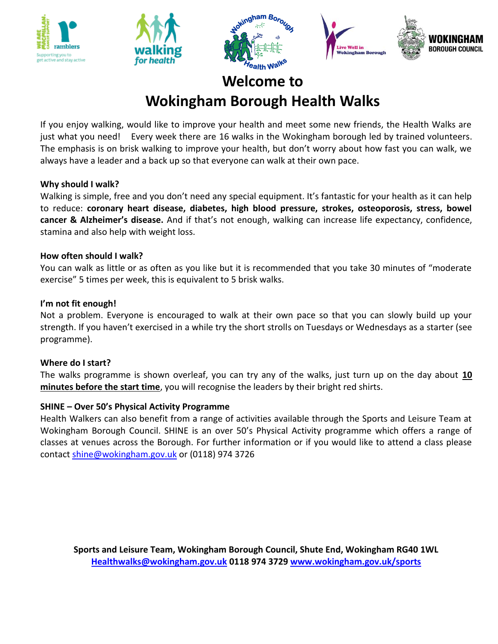







# **Welcome to Wokingham Borough Health Walks**

If you enjoy walking, would like to improve your health and meet some new friends, the Health Walks are just what you need! Every week there are 16 walks in the Wokingham borough led by trained volunteers. The emphasis is on brisk walking to improve your health, but don't worry about how fast you can walk, we always have a leader and a back up so that everyone can walk at their own pace.

### **Why should I walk?**

Walking is simple, free and you don't need any special equipment. It's fantastic for your health as it can help to reduce: **coronary heart disease, diabetes, high blood pressure, strokes, osteoporosis, stress, bowel cancer & Alzheimer's disease.** And if that's not enough, walking can increase life expectancy, confidence, stamina and also help with weight loss.

### **How often should I walk?**

You can walk as little or as often as you like but it is recommended that you take 30 minutes of "moderate exercise" 5 times per week, this is equivalent to 5 brisk walks.

### **I'm not fit enough!**

Not a problem. Everyone is encouraged to walk at their own pace so that you can slowly build up your strength. If you haven't exercised in a while try the short strolls on Tuesdays or Wednesdays as a starter (see programme).

### **Where do I start?**

The walks programme is shown overleaf, you can try any of the walks, just turn up on the day about **10 minutes before the start time**, you will recognise the leaders by their bright red shirts.

### **SHINE – Over 50's Physical Activity Programme**

Health Walkers can also benefit from a range of activities available through the Sports and Leisure Team at Wokingham Borough Council. SHINE is an over 50's Physical Activity programme which offers a range of classes at venues across the Borough. For further information or if you would like to attend a class please contact [shine@wokingham.gov.uk](mailto:shine@wokingham.gov.uk) or (0118) 974 3726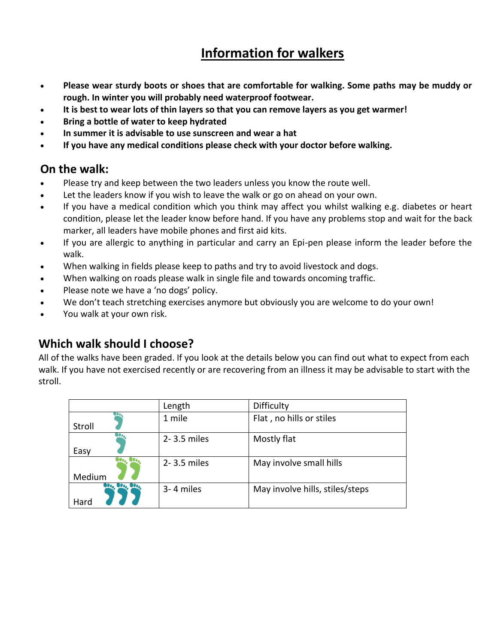# **Information for walkers**

- **Please wear sturdy boots or shoes that are comfortable for walking. Some paths may be muddy or rough. In winter you will probably need waterproof footwear.**
- **It is best to wear lots of thin layers so that you can remove layers as you get warmer!**
- **Bring a bottle of water to keep hydrated**
- **In summer it is advisable to use sunscreen and wear a hat**
- **If you have any medical conditions please check with your doctor before walking.**

### **On the walk:**

- Please try and keep between the two leaders unless you know the route well.
- Let the leaders know if you wish to leave the walk or go on ahead on your own.
- If you have a medical condition which you think may affect you whilst walking e.g. diabetes or heart condition, please let the leader know before hand. If you have any problems stop and wait for the back marker, all leaders have mobile phones and first aid kits.
- If you are allergic to anything in particular and carry an Epi-pen please inform the leader before the walk.
- When walking in fields please keep to paths and try to avoid livestock and dogs.
- When walking on roads please walk in single file and towards oncoming traffic.
- Please note we have a 'no dogs' policy.
- We don't teach stretching exercises anymore but obviously you are welcome to do your own!
- You walk at your own risk.

### **Which walk should I choose?**

All of the walks have been graded. If you look at the details below you can find out what to expect from each walk. If you have not exercised recently or are recovering from an illness it may be advisable to start with the stroll.

|                          | Length          | Difficulty                      |
|--------------------------|-----------------|---------------------------------|
| Stroll                   | 1 mile          | Flat, no hills or stiles        |
| Easy                     | $2 - 3.5$ miles | Mostly flat                     |
| Medium                   | 2-3.5 miles     | May involve small hills         |
| <b>OUOA UVOA</b><br>Hard | 3-4 miles       | May involve hills, stiles/steps |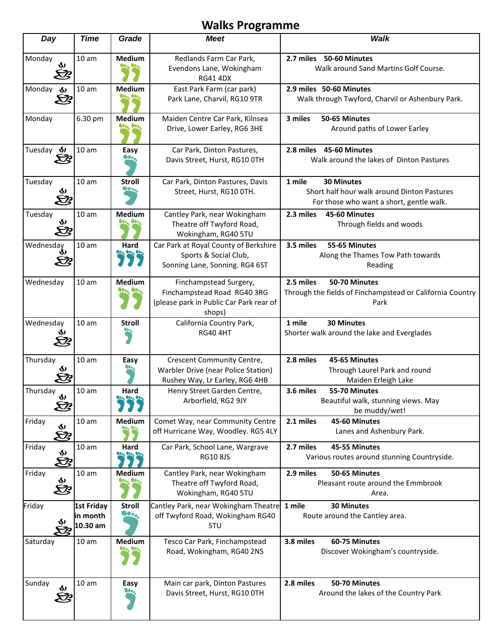## **Walks Programme**

| Day                                | <b>Time</b>                               | Grade                                                                         | <b>Meet</b>                                                                                                | Walk                                                                                                                   |
|------------------------------------|-------------------------------------------|-------------------------------------------------------------------------------|------------------------------------------------------------------------------------------------------------|------------------------------------------------------------------------------------------------------------------------|
| Monday<br>$\hat{\mathbf{v}}$<br>Ŀ  | 10 <sub>am</sub>                          | Medium                                                                        | Redlands Farm Car Park,<br>Evendons Lane, Wokingham<br><b>RG41 4DX</b>                                     | 2.7 miles 50-60 Minutes<br>Walk around Sand Martins Golf Course.                                                       |
| Monday $\leftrightarrow$<br>Ŀ      | 10 <sub>am</sub>                          | Medium<br><b>Boo</b> , 8000                                                   | East Park Farm (car park)<br>Park Lane, Charvil, RG10 9TR                                                  | 2.9 miles 50-60 Minutes<br>Walk through Twyford, Charvil or Ashenbury Park.                                            |
| Monday                             | 6.30 pm                                   | <b>Medium</b><br><b>Jesse Bess</b>                                            | Maiden Centre Car Park, Kilnsea<br>Drive, Lower Earley, RG6 3HE                                            | 3 miles<br>50-65 Minutes<br>Around paths of Lower Earley                                                               |
| Tuesday <>>><br>B                  | 10 <sub>am</sub>                          | Easy<br>$\bullet \bullet \bullet$                                             | Car Park, Dinton Pastures,<br>Davis Street, Hurst, RG10 OTH                                                | 2.8 miles 45-60 Minutes<br>Walk around the lakes of Dinton Pastures                                                    |
| Tuesday<br>Ŵ,<br>B                 | 10 <sub>am</sub>                          | <b>Stroll</b><br><b>Beo</b> o                                                 | Car Park, Dinton Pastures, Davis<br>Street, Hurst, RG10 OTH.                                               | 1 mile<br><b>30 Minutes</b><br>Short half hour walk around Dinton Pastures<br>For those who want a short, gentle walk. |
| Tuesday<br>Ŵ,<br>Ŀ                 | 10 <sub>am</sub>                          | <b>Medium</b><br><b>des, Bess</b>                                             | Cantley Park, near Wokingham<br>Theatre off Twyford Road,<br>Wokingham, RG40 5TU                           | 2.3 miles<br>45-60 Minutes<br>Through fields and woods                                                                 |
| Wednesday<br>Ŵ,<br>B               | 10 <sub>am</sub>                          | Hard<br>$\frac{1}{2}$ (1, $\frac{1}{2}$ (1, $\frac{1}{2}$ ) (1, $\frac{1}{2}$ | Car Park at Royal County of Berkshire<br>Sports & Social Club,<br>Sonning Lane, Sonning. RG4 6ST           | 3.5 miles<br>55-65 Minutes<br>Along the Thames Tow Path towards<br>Reading                                             |
| Wednesday                          | 10 <sub>am</sub>                          | Medium<br>$\bullet \bullet \bullet$                                           | Finchampstead Surgery,<br>Finchampstead Road RG40 3RG<br>(please park in Public Car Park rear of<br>shops) | 2.5 miles<br>50-70 Minutes<br>Through the fields of Finchampstead or California Country<br>Park                        |
| Wednesday<br>≫<br>B                | 10 <sub>am</sub>                          | <b>Stroll</b>                                                                 | California Country Park,<br><b>RG40 4HT</b>                                                                | 1 mile<br><b>30 Minutes</b><br>Shorter walk around the lake and Everglades                                             |
| Thursday<br>Ŵ,                     | 10 <sub>am</sub>                          | Easy                                                                          | Crescent Community Centre,<br>Warbler Drive (near Police Station)<br>Rushey Way, Lr Earley, RG6 4HB        | 2.8 miles<br>45-65 Minutes<br>Through Laurel Park and round<br>Maiden Erleigh Lake                                     |
| Thursday<br>Š                      | 10 <sub>am</sub>                          | Hard                                                                          | Henry Street Garden Centre,<br>Arborfield, RG2 9JY                                                         | 3.6 miles<br>55-70 Minutes<br>Beautiful walk, stunning views. May<br>be muddy/wet!                                     |
| Friday<br>$\hat{\mathbf{v}}$<br>ÈS | 10 <sub>am</sub>                          | <b>Medium</b>                                                                 | Comet Way, near Community Centre<br>off Hurricane Way, Woodley. RG5 4LY                                    | 2.1 miles<br>45-60 Minutes<br>Lanes and Ashenbury Park.                                                                |
| Friday<br>Š                        | 10 <sub>am</sub>                          | Hard<br>8000, 8000, 8000,                                                     | Car Park, School Lane, Wargrave<br><b>RG10 8JS</b>                                                         | 2.7 miles<br>45-55 Minutes<br>Various routes around stunning Countryside.                                              |
| Friday<br>si<br>Ez                 | 10 <sub>am</sub>                          | Medium<br><b>de., Be.,</b>                                                    | Cantley Park, near Wokingham<br>Theatre off Twyford Road,<br>Wokingham, RG40 5TU                           | 2.9 miles<br>50-65 Minutes<br>Pleasant route around the Emmbrook<br>Area.                                              |
| Friday<br>Ŵ,<br>E3                 | <b>1st Friday</b><br>in month<br>10.30 am | <b>Stroll</b><br>$\mathbf{e}_{\mathbf{e}_{o}}$                                | Cantley Park, near Wokingham Theatre<br>off Twyford Road, Wokingham RG40<br>5TU                            | 1 mile<br><b>30 Minutes</b><br>Route around the Cantley area.                                                          |
| Saturday                           | 10 <sub>am</sub>                          | Medium<br>90., GO.,                                                           | Tesco Car Park, Finchampstead<br>Road, Wokingham, RG40 2NS                                                 | 3.8 miles<br>60-75 Minutes<br>Discover Wokingham's countryside.                                                        |
| Sunday<br>$\bm{\mathsf{\hat{v}}}$  | 10 <sub>am</sub>                          | Easy                                                                          | Main car park, Dinton Pastures<br>Davis Street, Hurst, RG10 OTH                                            | 2.8 miles<br>50-70 Minutes<br>Around the lakes of the Country Park                                                     |